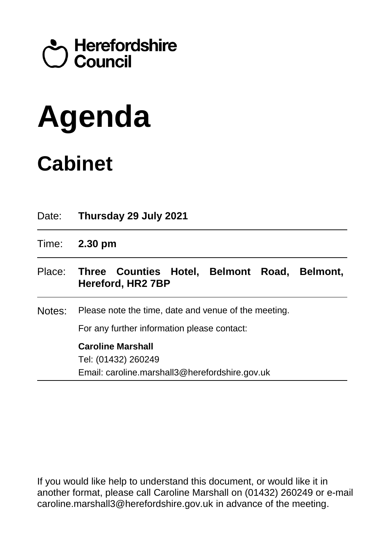## Council<br>Council

# **Agenda**

### **Cabinet**

| Date:  | Thursday 29 July 2021                                                                               |
|--------|-----------------------------------------------------------------------------------------------------|
| Time:  | $2.30 \text{ pm}$                                                                                   |
|        | Place: Three Counties Hotel, Belmont Road, Belmont,<br>Hereford, HR2 7BP                            |
| Notes: | Please note the time, date and venue of the meeting.<br>For any further information please contact: |
|        | <b>Caroline Marshall</b><br>Tel: (01432) 260249<br>Email: caroline.marshall3@herefordshire.gov.uk   |

If you would like help to understand this document, or would like it in another format, please call Caroline Marshall on (01432) 260249 or e-mail caroline.marshall3@herefordshire.gov.uk in advance of the meeting.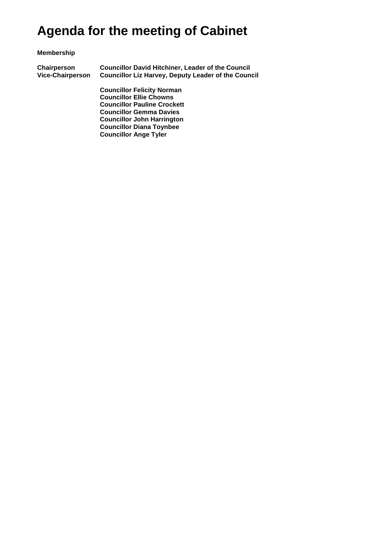### **Agenda for the meeting of Cabinet**

#### **Membership**

**Chairperson Councillor David Hitchiner, Leader of the Council Councillor Liz Harvey, Deputy Leader of the Council** 

> **Councillor Felicity Norman Councillor Ellie Chowns Councillor Pauline Crockett Councillor Gemma Davies Councillor John Harrington Councillor Diana Toynbee Councillor Ange Tyler**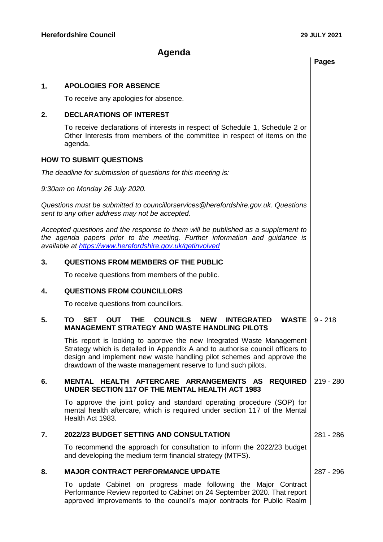#### **Agenda**

| <b>APOLOGIES FOR ABSENCE</b><br>1. |
|------------------------------------|
|------------------------------------|

To receive any apologies for absence.

#### **2. DECLARATIONS OF INTEREST**

To receive declarations of interests in respect of Schedule 1, Schedule 2 or Other Interests from members of the committee in respect of items on the agenda.

#### **HOW TO SUBMIT QUESTIONS**

*The deadline for submission of questions for this meeting is:* 

*9:30am on Monday 26 July 2020.* 

*Questions must be submitted to councillorservices@herefordshire.gov.uk. Questions sent to any other address may not be accepted.* 

*Accepted questions and the response to them will be published as a supplement to the agenda papers prior to the meeting. Further information and guidance is available at<https://www.herefordshire.gov.uk/getinvolved>*

#### **3. QUESTIONS FROM MEMBERS OF THE PUBLIC**

To receive questions from members of the public.

#### **4. QUESTIONS FROM COUNCILLORS**

To receive questions from councillors.

#### **5. TO SET OUT THE COUNCILS NEW INTEGRATED WASTE MANAGEMENT STRATEGY AND WASTE HANDLING PILOTS** 9 - 218

This report is looking to approve the new Integrated Waste Management Strategy which is detailed in Appendix A and to authorise council officers to design and implement new waste handling pilot schemes and approve the drawdown of the waste management reserve to fund such pilots.

#### **6. MENTAL HEALTH AFTERCARE ARRANGEMENTS AS REQUIRED UNDER SECTION 117 OF THE MENTAL HEALTH ACT 1983** 219 - 280

To approve the joint policy and standard operating procedure (SOP) for mental health aftercare, which is required under section 117 of the Mental Health Act 1983.

#### **7. 2022/23 BUDGET SETTING AND CONSULTATION** 281 - 286

To recommend the approach for consultation to inform the 2022/23 budget and developing the medium term financial strategy (MTFS).

#### **8. MAJOR CONTRACT PERFORMANCE UPDATE** 287 - 296

To update Cabinet on progress made following the Major Contract Performance Review reported to Cabinet on 24 September 2020. That report approved improvements to the council's major contracts for Public Realm

**Pages**